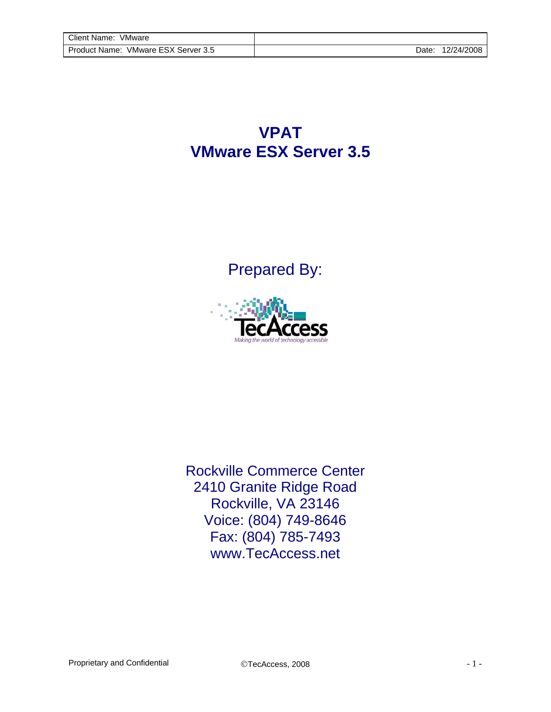**VPAT VMware ESX Server 3.5**

Prepared By:



Rockville Commerce Center 2410 Granite Ridge Road Rockville, VA 23146 Voice: (804) 749-8646 Fax: (804) 785-7493 www.TecAccess.net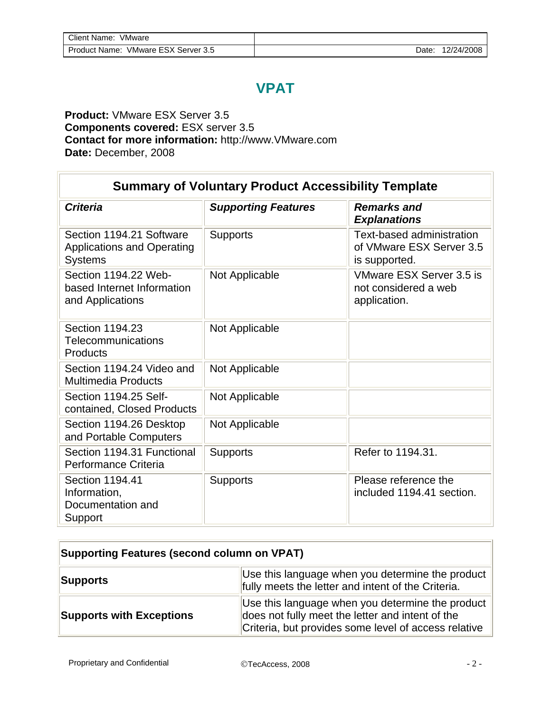## **VPAT**

## **Product:** VMware ESX Server 3.5 **Components covered:** ESX server 3.5 **Contact for more information:** http://www.VMware.com **Date:** December, 2008

| <b>Summary of Voluntary Product Accessibility Template</b>                      |                            |                                                                        |  |  |  |
|---------------------------------------------------------------------------------|----------------------------|------------------------------------------------------------------------|--|--|--|
| <b>Criteria</b>                                                                 | <b>Supporting Features</b> | <b>Remarks and</b><br><b>Explanations</b>                              |  |  |  |
| Section 1194.21 Software<br><b>Applications and Operating</b><br><b>Systems</b> | <b>Supports</b>            | Text-based administration<br>of VMware ESX Server 3.5<br>is supported. |  |  |  |
| Section 1194.22 Web-<br>based Internet Information<br>and Applications          | Not Applicable             | VMware ESX Server 3.5 is<br>not considered a web<br>application.       |  |  |  |
| Section 1194.23<br>Telecommunications<br>Products                               | Not Applicable             |                                                                        |  |  |  |
| Section 1194.24 Video and<br><b>Multimedia Products</b>                         | Not Applicable             |                                                                        |  |  |  |
| Section 1194.25 Self-<br>contained, Closed Products                             | Not Applicable             |                                                                        |  |  |  |
| Section 1194.26 Desktop<br>and Portable Computers                               | Not Applicable             |                                                                        |  |  |  |
| Section 1194.31 Functional<br>Performance Criteria                              | <b>Supports</b>            | Refer to 1194.31.                                                      |  |  |  |
| Section 1194.41<br>Information,<br>Documentation and<br>Support                 | <b>Supports</b>            | Please reference the<br>included 1194.41 section.                      |  |  |  |

| <b>Supporting Features (second column on VPAT)</b> |                                                                                                                                                              |  |  |
|----------------------------------------------------|--------------------------------------------------------------------------------------------------------------------------------------------------------------|--|--|
| <b>Supports</b>                                    | Use this language when you determine the product<br>fully meets the letter and intent of the Criteria.                                                       |  |  |
| <b>Supports with Exceptions</b>                    | Use this language when you determine the product<br>does not fully meet the letter and intent of the<br>Criteria, but provides some level of access relative |  |  |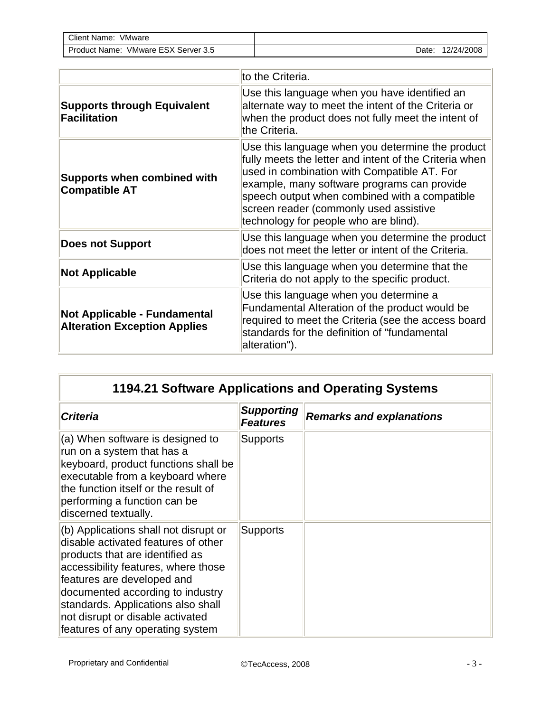| Client Name:<br>VMware                                 |             |            |
|--------------------------------------------------------|-------------|------------|
| ESX Server 3.5<br>VMware <sup>r</sup><br>Product Name: | <b>Date</b> | 12/24/2008 |

|                                                                            | to the Criteria.                                                                                                                                                                                                                                                                                                                             |
|----------------------------------------------------------------------------|----------------------------------------------------------------------------------------------------------------------------------------------------------------------------------------------------------------------------------------------------------------------------------------------------------------------------------------------|
| <b>Supports through Equivalent</b><br><b>Facilitation</b>                  | Use this language when you have identified an<br>alternate way to meet the intent of the Criteria or<br>when the product does not fully meet the intent of<br>the Criteria.                                                                                                                                                                  |
| <b>Supports when combined with</b><br><b>Compatible AT</b>                 | Use this language when you determine the product<br>fully meets the letter and intent of the Criteria when<br>used in combination with Compatible AT. For<br>example, many software programs can provide<br>speech output when combined with a compatible<br>screen reader (commonly used assistive<br>technology for people who are blind). |
| <b>Does not Support</b>                                                    | Use this language when you determine the product<br>does not meet the letter or intent of the Criteria.                                                                                                                                                                                                                                      |
| <b>Not Applicable</b>                                                      | Use this language when you determine that the<br>Criteria do not apply to the specific product.                                                                                                                                                                                                                                              |
| <b>Not Applicable - Fundamental</b><br><b>Alteration Exception Applies</b> | Use this language when you determine a<br>Fundamental Alteration of the product would be<br>required to meet the Criteria (see the access board<br>standards for the definition of "fundamental<br>alteration").                                                                                                                             |

| 1194.21 Software Applications and Operating Systems                                                                                                                                                                                                                                                                                    |                                      |                                 |  |
|----------------------------------------------------------------------------------------------------------------------------------------------------------------------------------------------------------------------------------------------------------------------------------------------------------------------------------------|--------------------------------------|---------------------------------|--|
| <b>Criteria</b>                                                                                                                                                                                                                                                                                                                        | <b>Supporting</b><br><b>Features</b> | <b>Remarks and explanations</b> |  |
| (a) When software is designed to<br>run on a system that has a<br>keyboard, product functions shall be<br>executable from a keyboard where<br>the function itself or the result of<br>performing a function can be<br>discerned textually.                                                                                             | Supports                             |                                 |  |
| (b) Applications shall not disrupt or<br>disable activated features of other<br>products that are identified as<br>accessibility features, where those<br>features are developed and<br>documented according to industry<br>standards. Applications also shall<br>not disrupt or disable activated<br>features of any operating system | <b>Supports</b>                      |                                 |  |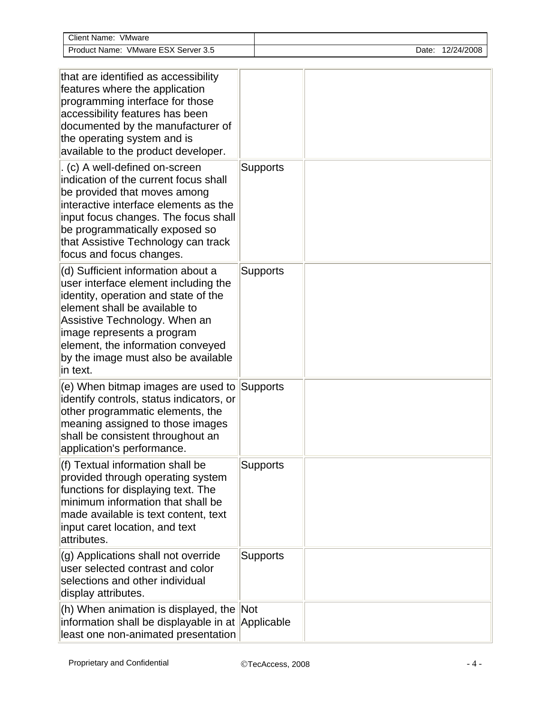| Client Name: VMware                                                                                                                                                                                                                                                                                        |                 |  |  |  |                  |  |
|------------------------------------------------------------------------------------------------------------------------------------------------------------------------------------------------------------------------------------------------------------------------------------------------------------|-----------------|--|--|--|------------------|--|
| Product Name: VMware ESX Server 3.5                                                                                                                                                                                                                                                                        |                 |  |  |  | Date: 12/24/2008 |  |
|                                                                                                                                                                                                                                                                                                            |                 |  |  |  |                  |  |
| that are identified as accessibility<br>features where the application<br>programming interface for those<br>accessibility features has been<br>documented by the manufacturer of<br>the operating system and is<br>available to the product developer.                                                    |                 |  |  |  |                  |  |
| . (c) A well-defined on-screen<br>indication of the current focus shall<br>be provided that moves among<br>interactive interface elements as the<br>input focus changes. The focus shall<br>be programmatically exposed so<br>that Assistive Technology can track<br>focus and focus changes.              | <b>Supports</b> |  |  |  |                  |  |
| (d) Sufficient information about a<br>user interface element including the<br>identity, operation and state of the<br>element shall be available to<br>Assistive Technology. When an<br>image represents a program<br>element, the information conveyed<br>by the image must also be available<br>in text. | <b>Supports</b> |  |  |  |                  |  |
| (e) When bitmap images are used to Supports<br>identify controls, status indicators, or<br>other programmatic elements, the<br>meaning assigned to those images<br>shall be consistent throughout an<br>application's performance.                                                                         |                 |  |  |  |                  |  |
| (f) Textual information shall be<br>provided through operating system<br>functions for displaying text. The<br>minimum information that shall be<br>made available is text content, text<br>input caret location, and text<br>attributes.                                                                  | <b>Supports</b> |  |  |  |                  |  |
| (g) Applications shall not override<br>user selected contrast and color<br>selections and other individual<br>display attributes.                                                                                                                                                                          | <b>Supports</b> |  |  |  |                  |  |
| (h) When animation is displayed, the Not<br>information shall be displayable in at Applicable<br>least one non-animated presentation                                                                                                                                                                       |                 |  |  |  |                  |  |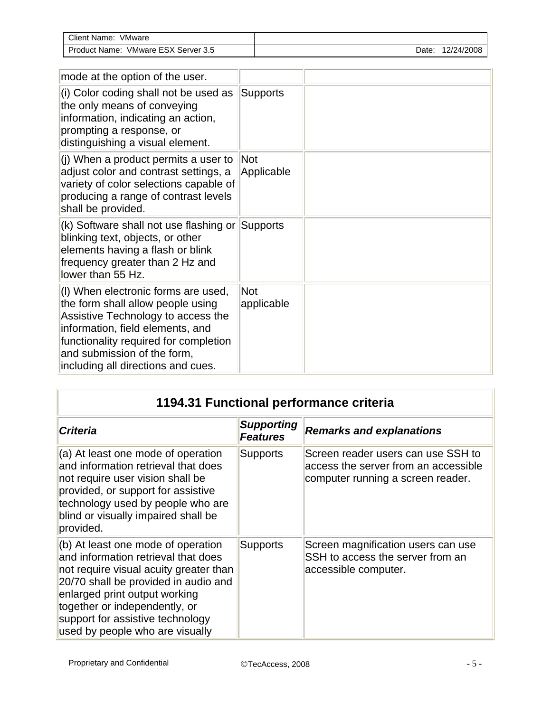| $C$ lient<br>VMware<br>Name                                                                         |       |                            |
|-----------------------------------------------------------------------------------------------------|-------|----------------------------|
| rov o<br>-<br>VMware<br>Server<br>$.$ ) r $\sim$<br>Name:<br>oduct<br>$\sim$ $\lambda$<br>.ა.ა<br>◡ | Date. | 10 <sup>n</sup><br>24/2008 |

| mode at the option of the user.                                                                                                                                                                                                                                  |                          |  |
|------------------------------------------------------------------------------------------------------------------------------------------------------------------------------------------------------------------------------------------------------------------|--------------------------|--|
| (i) Color coding shall not be used as<br>the only means of conveying<br>information, indicating an action,<br>prompting a response, or<br>distinguishing a visual element.                                                                                       | Supports                 |  |
| (i) When a product permits a user to<br>adjust color and contrast settings, a<br>variety of color selections capable of<br>producing a range of contrast levels<br>shall be provided.                                                                            | <b>Not</b><br>Applicable |  |
| (k) Software shall not use flashing or Supports<br>blinking text, objects, or other<br>elements having a flash or blink<br>frequency greater than 2 Hz and<br>lower than 55 Hz.                                                                                  |                          |  |
| (I) When electronic forms are used,<br>the form shall allow people using<br>Assistive Technology to access the<br>information, field elements, and<br>functionality required for completion<br>and submission of the form,<br>including all directions and cues. | Not<br>applicable        |  |

| 1194.31 Functional performance criteria                                                                                                                                                                                                                                                                  |                                      |                                                                                                                 |  |  |
|----------------------------------------------------------------------------------------------------------------------------------------------------------------------------------------------------------------------------------------------------------------------------------------------------------|--------------------------------------|-----------------------------------------------------------------------------------------------------------------|--|--|
| <b>Criteria</b>                                                                                                                                                                                                                                                                                          | <b>Supporting</b><br><b>Features</b> | <b>Remarks and explanations</b>                                                                                 |  |  |
| (a) At least one mode of operation<br>and information retrieval that does<br>not require user vision shall be<br>provided, or support for assistive<br>technology used by people who are<br>blind or visually impaired shall be<br>provided.                                                             | <b>Supports</b>                      | Screen reader users can use SSH to<br>access the server from an accessible<br>computer running a screen reader. |  |  |
| $ $ (b) At least one mode of operation<br>and information retrieval that does<br>not require visual acuity greater than<br>20/70 shall be provided in audio and<br>enlarged print output working<br>together or independently, or<br>support for assistive technology<br>used by people who are visually | <b>Supports</b>                      | Screen magnification users can use<br>SSH to access the server from an<br>accessible computer.                  |  |  |

÷,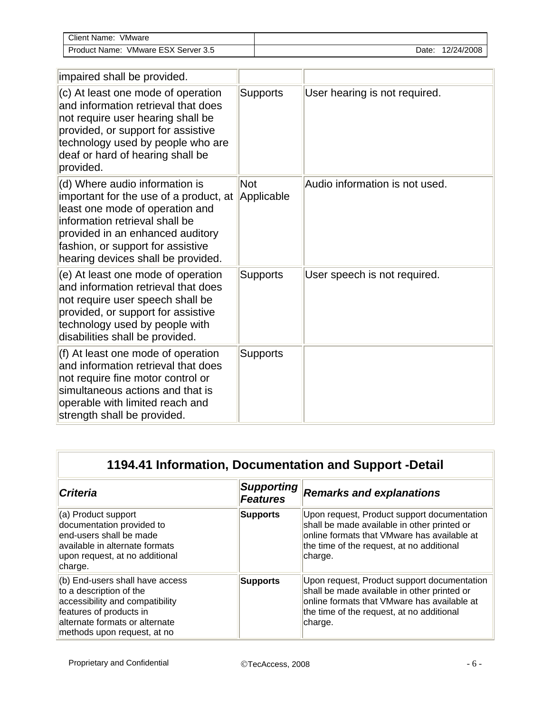| <b>Client Name:</b><br>VMware                     |      |            |
|---------------------------------------------------|------|------------|
| ESX ್<br>Product<br>Server 3.5<br>VMware<br>Name: | Date | 12/24/2008 |

| impaired shall be provided.                                                                                                                                                                                                                                  |                          |                                |
|--------------------------------------------------------------------------------------------------------------------------------------------------------------------------------------------------------------------------------------------------------------|--------------------------|--------------------------------|
| (c) At least one mode of operation<br>and information retrieval that does<br>not require user hearing shall be<br>provided, or support for assistive<br>technology used by people who are<br>deaf or hard of hearing shall be<br>provided.                   | <b>Supports</b>          | User hearing is not required.  |
| (d) Where audio information is<br>important for the use of a product, at<br>least one mode of operation and<br>information retrieval shall be<br>provided in an enhanced auditory<br>fashion, or support for assistive<br>hearing devices shall be provided. | <b>Not</b><br>Applicable | Audio information is not used. |
| (e) At least one mode of operation<br>and information retrieval that does<br>not require user speech shall be<br>provided, or support for assistive<br>technology used by people with<br>disabilities shall be provided.                                     | <b>Supports</b>          | User speech is not required.   |
| (f) At least one mode of operation<br>and information retrieval that does<br>not require fine motor control or<br>simultaneous actions and that is<br>operable with limited reach and<br>strength shall be provided.                                         | <b>Supports</b>          |                                |

| 1194.41 Information, Documentation and Support -Detail                                                                                                                                    |                                      |                                                                                                                                                                                                   |  |
|-------------------------------------------------------------------------------------------------------------------------------------------------------------------------------------------|--------------------------------------|---------------------------------------------------------------------------------------------------------------------------------------------------------------------------------------------------|--|
| <b>Criteria</b>                                                                                                                                                                           | <b>Supporting</b><br><b>Features</b> | <b>Remarks and explanations</b>                                                                                                                                                                   |  |
| (a) Product support<br>documentation provided to<br>end-users shall be made<br>lavailable in alternate formats<br>upon request, at no additional<br>charge.                               | <b>Supports</b>                      | Upon request, Product support documentation<br>shall be made available in other printed or<br>online formats that VMware has available at<br>the time of the request, at no additional<br>charge. |  |
| (b) End-users shall have access<br>to a description of the<br>accessibility and compatibility<br>features of products in<br>alternate formats or alternate<br>methods upon request, at no | <b>Supports</b>                      | Upon request, Product support documentation<br>shall be made available in other printed or<br>online formats that VMware has available at<br>the time of the request, at no additional<br>charge. |  |

ī